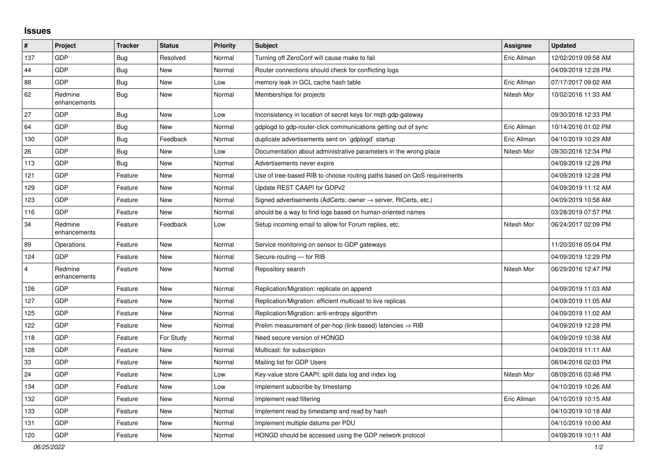## **Issues**

| $\pmb{\#}$              | Project                 | <b>Tracker</b> | <b>Status</b> | <b>Priority</b> | <b>Subject</b>                                                             | Assignee    | <b>Updated</b>      |
|-------------------------|-------------------------|----------------|---------------|-----------------|----------------------------------------------------------------------------|-------------|---------------------|
| 137                     | <b>GDP</b>              | <b>Bug</b>     | Resolved      | Normal          | Turning off ZeroConf will cause make to fail                               | Eric Allman | 12/02/2019 09:58 AM |
| 44                      | GDP                     | <b>Bug</b>     | <b>New</b>    | Normal          | Router connections should check for conflicting logs                       |             | 04/09/2019 12:28 PM |
| 88                      | <b>GDP</b>              | <b>Bug</b>     | <b>New</b>    | Low             | memory leak in GCL cache hash table                                        | Eric Allman | 07/17/2017 09:02 AM |
| 62                      | Redmine<br>enhancements | Bug            | New           | Normal          | Memberships for projects                                                   | Nitesh Mor  | 10/02/2016 11:33 AM |
| 27                      | <b>GDP</b>              | <b>Bug</b>     | <b>New</b>    | Low             | Inconsistency in location of secret keys for mqtt-gdp-gateway              |             | 09/30/2016 12:33 PM |
| 64                      | <b>GDP</b>              | Bug            | New           | Normal          | gdplogd to gdp-router-click communications getting out of sync             | Eric Allman | 10/14/2016 01:02 PM |
| 130                     | <b>GDP</b>              | Bug            | Feedback      | Normal          | duplicate advertisements sent on `gdplogd` startup                         | Eric Allman | 04/10/2019 10:29 AM |
| 26                      | <b>GDP</b>              | <b>Bug</b>     | <b>New</b>    | Low             | Documentation about administrative parameters in the wrong place           | Nitesh Mor  | 09/30/2016 12:34 PM |
| 113                     | <b>GDP</b>              | Bug            | <b>New</b>    | Normal          | Advertisements never expire                                                |             | 04/09/2019 12:28 PM |
| 121                     | <b>GDP</b>              | Feature        | <b>New</b>    | Normal          | Use of tree-based RIB to choose routing paths based on QoS requirements    |             | 04/09/2019 12:28 PM |
| 129                     | <b>GDP</b>              | Feature        | <b>New</b>    | Normal          | Update REST CAAPI for GDPv2                                                |             | 04/09/2019 11:12 AM |
| 123                     | <b>GDP</b>              | Feature        | <b>New</b>    | Normal          | Signed advertisements (AdCerts: owner $\rightarrow$ server, RtCerts, etc.) |             | 04/09/2019 10:58 AM |
| 116                     | GDP                     | Feature        | <b>New</b>    | Normal          | should be a way to find logs based on human-oriented names                 |             | 03/28/2019 07:57 PM |
| 34                      | Redmine<br>enhancements | Feature        | Feedback      | Low             | Setup incoming email to allow for Forum replies, etc.                      | Nitesh Mor  | 06/24/2017 02:09 PM |
| 89                      | Operations              | Feature        | <b>New</b>    | Normal          | Service monitoring on sensor to GDP gateways                               |             | 11/20/2016 05:04 PM |
| 124                     | <b>GDP</b>              | Feature        | <b>New</b>    | Normal          | Secure-routing - for RIB                                                   |             | 04/09/2019 12:29 PM |
| $\overline{\mathbf{4}}$ | Redmine<br>enhancements | Feature        | <b>New</b>    | Normal          | Repository search                                                          | Nitesh Mor  | 06/29/2016 12:47 PM |
| 126                     | <b>GDP</b>              | Feature        | <b>New</b>    | Normal          | Replication/Migration: replicate on append                                 |             | 04/09/2019 11:03 AM |
| 127                     | <b>GDP</b>              | Feature        | <b>New</b>    | Normal          | Replication/Migration: efficient multicast to live replicas                |             | 04/09/2019 11:05 AM |
| 125                     | <b>GDP</b>              | Feature        | New           | Normal          | Replication/Migration: anti-entropy algorithm                              |             | 04/09/2019 11:02 AM |
| 122                     | <b>GDP</b>              | Feature        | <b>New</b>    | Normal          | Prelim measurement of per-hop (link-based) latencies $\Rightarrow$ RIB     |             | 04/09/2019 12:28 PM |
| 118                     | <b>GDP</b>              | Feature        | For Study     | Normal          | Need secure version of HONGD                                               |             | 04/09/2019 10:38 AM |
| 128                     | <b>GDP</b>              | Feature        | <b>New</b>    | Normal          | Multicast: for subscription                                                |             | 04/09/2019 11:11 AM |
| 33                      | <b>GDP</b>              | Feature        | <b>New</b>    | Normal          | Mailing list for GDP Users                                                 |             | 08/04/2016 02:03 PM |
| 24                      | <b>GDP</b>              | Feature        | <b>New</b>    | Low             | Key-value store CAAPI: split data log and index log                        | Nitesh Mor  | 08/09/2016 03:48 PM |
| 134                     | <b>GDP</b>              | Feature        | <b>New</b>    | Low             | Implement subscribe by timestamp                                           |             | 04/10/2019 10:26 AM |
| 132                     | <b>GDP</b>              | Feature        | <b>New</b>    | Normal          | Implement read filtering                                                   | Eric Allman | 04/10/2019 10:15 AM |
| 133                     | <b>GDP</b>              | Feature        | New           | Normal          | Implement read by timestamp and read by hash                               |             | 04/10/2019 10:18 AM |
| 131                     | GDP                     | Feature        | <b>New</b>    | Normal          | Implement multiple datums per PDU                                          |             | 04/10/2019 10:00 AM |
| 120                     | <b>GDP</b>              | Feature        | New           | Normal          | HONGD should be accessed using the GDP network protocol                    |             | 04/09/2019 10:11 AM |